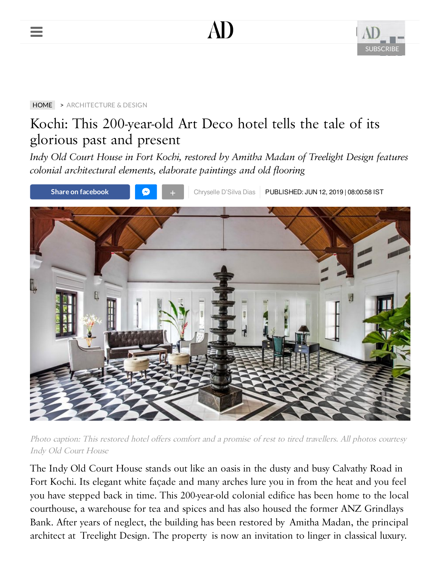





#### [HOME](https://www.architecturaldigest.in/) > [ARCHITECTURE & DESIGN](https://www.architecturaldigest.in/architecture-design/)

# Kochi: This 200-year-old Art Deco hotel tells the tale of its glorious past and present

*Indy Old Court House in Fort Kochi, restored by Amitha Madan of Treelight Design features colonial architectural elements, elaborate paintings and old flooring*



Photo caption: This restored hotel offers comfort and a promise of rest to tired travellers. All photos courtesy Indy Old Court House

The Indy Old Court House stands out like an oasis in the dusty and busy Calvathy Road in Fort Kochi. Its elegant white façade and many arches lure you in from the heat and you feel you have stepped back in time. This 200-year-old colonial edifice has been home to the local courthouse, a warehouse for tea and spices and has also housed the former ANZ Grindlays Bank. After years of neglect, the building has been restored by Amitha Madan, the principal architect at Treelight Design. The property is now an invitation to linger in classical luxury.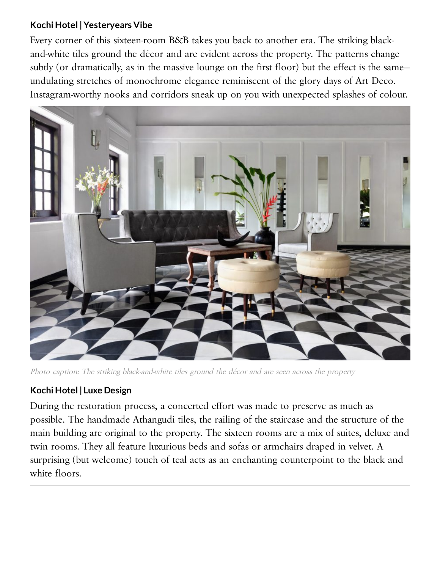# **Kochi Hotel | Yesteryears Vibe**

Every corner of this sixteen-room B&B takes you back to another era. The striking blackand-white tiles ground the décor and are evident across the property. The patterns change subtly (or dramatically, as in the massive lounge on the first floor) but the effect is the same undulating stretches of monochrome elegance reminiscent of the glory days of Art Deco. Instagram-worthy nooks and corridors sneak up on you with unexpected splashes of colour.



Photo caption: The striking black-and-white tiles ground the décor and are seen across the property

# **Kochi Hotel | Luxe Design**

During the restoration process, a concerted effort was made to preserve as much as possible. The handmade Athangudi tiles, the railing of the staircase and the structure of the main building are original to the property. The sixteen rooms are a mix of suites, deluxe and twin rooms. They all feature luxurious beds and sofas or armchairs draped in velvet. A surprising (but welcome) touch of teal acts as an enchanting counterpoint to the black and white floors.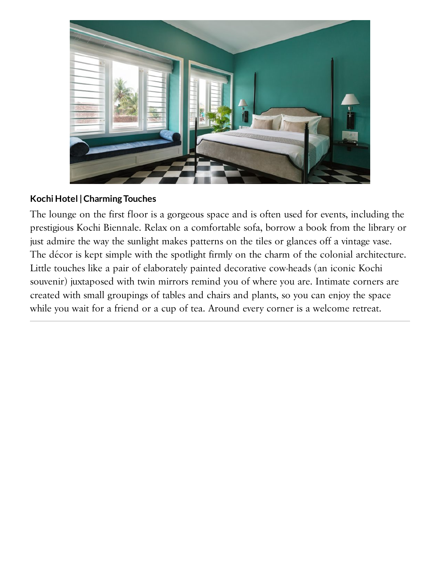

### **Kochi Hotel | Charming Touches**

The lounge on the first floor is a gorgeous space and is often used for events, including the prestigious Kochi Biennale. Relax on a comfortable sofa, borrow a book from the library or just admire the way the sunlight makes patterns on the tiles or glances off a vintage vase. The décor is kept simple with the spotlight firmly on the charm of the colonial architecture. Little touches like a pair of elaborately painted decorative cow-heads (an iconic Kochi souvenir) juxtaposed with twin mirrors remind you of where you are. Intimate corners are created with small groupings of tables and chairs and plants, so you can enjoy the space while you wait for a friend or a cup of tea. Around every corner is a welcome retreat.